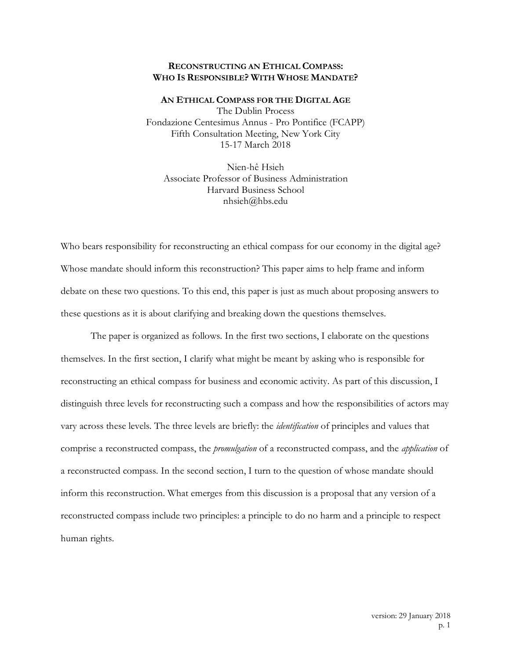## **RECONSTRUCTING AN ETHICAL COMPASS: WHO IS RESPONSIBLE? WITH WHOSE MANDATE?**

**AN ETHICAL COMPASS FOR THE DIGITAL AGE** The Dublin Process Fondazione Centesimus Annus - Pro Pontifice (FCAPP) Fifth Consultation Meeting, New York City 15-17 March 2018

Nien-hê Hsieh Associate Professor of Business Administration Harvard Business School nhsieh@hbs.edu

Who bears responsibility for reconstructing an ethical compass for our economy in the digital age? Whose mandate should inform this reconstruction? This paper aims to help frame and inform debate on these two questions. To this end, this paper is just as much about proposing answers to these questions as it is about clarifying and breaking down the questions themselves.

The paper is organized as follows. In the first two sections, I elaborate on the questions themselves. In the first section, I clarify what might be meant by asking who is responsible for reconstructing an ethical compass for business and economic activity. As part of this discussion, I distinguish three levels for reconstructing such a compass and how the responsibilities of actors may vary across these levels. The three levels are briefly: the *identification* of principles and values that comprise a reconstructed compass, the *promulgation* of a reconstructed compass, and the *application* of a reconstructed compass. In the second section, I turn to the question of whose mandate should inform this reconstruction. What emerges from this discussion is a proposal that any version of a reconstructed compass include two principles: a principle to do no harm and a principle to respect human rights.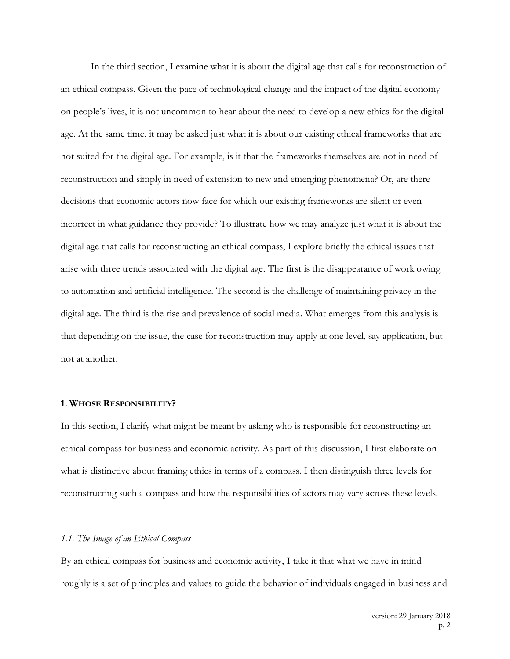In the third section, I examine what it is about the digital age that calls for reconstruction of an ethical compass. Given the pace of technological change and the impact of the digital economy on people's lives, it is not uncommon to hear about the need to develop a new ethics for the digital age. At the same time, it may be asked just what it is about our existing ethical frameworks that are not suited for the digital age. For example, is it that the frameworks themselves are not in need of reconstruction and simply in need of extension to new and emerging phenomena? Or, are there decisions that economic actors now face for which our existing frameworks are silent or even incorrect in what guidance they provide? To illustrate how we may analyze just what it is about the digital age that calls for reconstructing an ethical compass, I explore briefly the ethical issues that arise with three trends associated with the digital age. The first is the disappearance of work owing to automation and artificial intelligence. The second is the challenge of maintaining privacy in the digital age. The third is the rise and prevalence of social media. What emerges from this analysis is that depending on the issue, the case for reconstruction may apply at one level, say application, but not at another.

#### **1. WHOSE RESPONSIBILITY?**

In this section, I clarify what might be meant by asking who is responsible for reconstructing an ethical compass for business and economic activity. As part of this discussion, I first elaborate on what is distinctive about framing ethics in terms of a compass. I then distinguish three levels for reconstructing such a compass and how the responsibilities of actors may vary across these levels.

# *1.1. The Image of an Ethical Compass*

By an ethical compass for business and economic activity, I take it that what we have in mind roughly is a set of principles and values to guide the behavior of individuals engaged in business and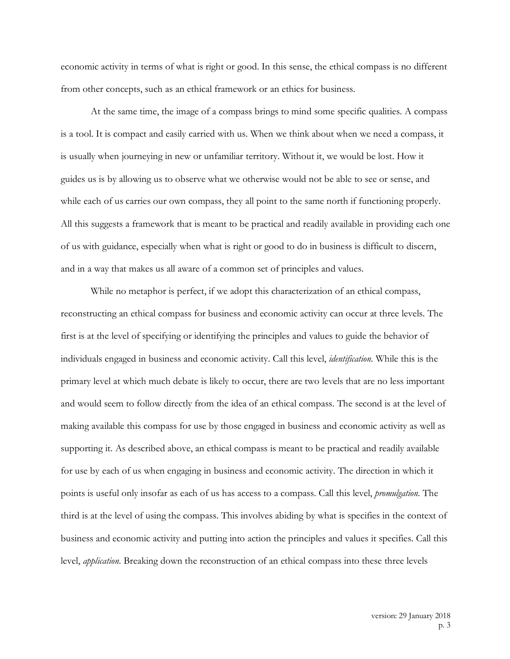economic activity in terms of what is right or good. In this sense, the ethical compass is no different from other concepts, such as an ethical framework or an ethics for business.

At the same time, the image of a compass brings to mind some specific qualities. A compass is a tool. It is compact and easily carried with us. When we think about when we need a compass, it is usually when journeying in new or unfamiliar territory. Without it, we would be lost. How it guides us is by allowing us to observe what we otherwise would not be able to see or sense, and while each of us carries our own compass, they all point to the same north if functioning properly. All this suggests a framework that is meant to be practical and readily available in providing each one of us with guidance, especially when what is right or good to do in business is difficult to discern, and in a way that makes us all aware of a common set of principles and values.

While no metaphor is perfect, if we adopt this characterization of an ethical compass, reconstructing an ethical compass for business and economic activity can occur at three levels. The first is at the level of specifying or identifying the principles and values to guide the behavior of individuals engaged in business and economic activity. Call this level, *identification*. While this is the primary level at which much debate is likely to occur, there are two levels that are no less important and would seem to follow directly from the idea of an ethical compass. The second is at the level of making available this compass for use by those engaged in business and economic activity as well as supporting it. As described above, an ethical compass is meant to be practical and readily available for use by each of us when engaging in business and economic activity. The direction in which it points is useful only insofar as each of us has access to a compass. Call this level, *promulgation*. The third is at the level of using the compass. This involves abiding by what is specifies in the context of business and economic activity and putting into action the principles and values it specifies. Call this level, *application*. Breaking down the reconstruction of an ethical compass into these three levels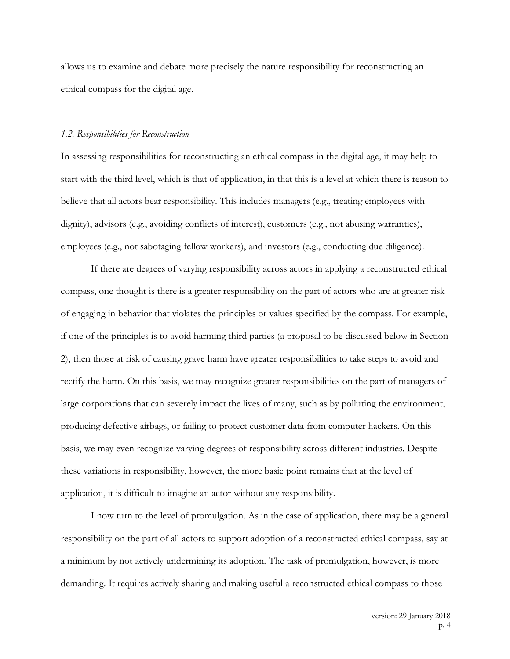allows us to examine and debate more precisely the nature responsibility for reconstructing an ethical compass for the digital age.

#### *1.2. Responsibilities for Reconstruction*

In assessing responsibilities for reconstructing an ethical compass in the digital age, it may help to start with the third level, which is that of application, in that this is a level at which there is reason to believe that all actors bear responsibility. This includes managers (e.g., treating employees with dignity), advisors (e.g., avoiding conflicts of interest), customers (e.g., not abusing warranties), employees (e.g., not sabotaging fellow workers), and investors (e.g., conducting due diligence).

If there are degrees of varying responsibility across actors in applying a reconstructed ethical compass, one thought is there is a greater responsibility on the part of actors who are at greater risk of engaging in behavior that violates the principles or values specified by the compass. For example, if one of the principles is to avoid harming third parties (a proposal to be discussed below in Section 2), then those at risk of causing grave harm have greater responsibilities to take steps to avoid and rectify the harm. On this basis, we may recognize greater responsibilities on the part of managers of large corporations that can severely impact the lives of many, such as by polluting the environment, producing defective airbags, or failing to protect customer data from computer hackers. On this basis, we may even recognize varying degrees of responsibility across different industries. Despite these variations in responsibility, however, the more basic point remains that at the level of application, it is difficult to imagine an actor without any responsibility.

I now turn to the level of promulgation. As in the case of application, there may be a general responsibility on the part of all actors to support adoption of a reconstructed ethical compass, say at a minimum by not actively undermining its adoption. The task of promulgation, however, is more demanding. It requires actively sharing and making useful a reconstructed ethical compass to those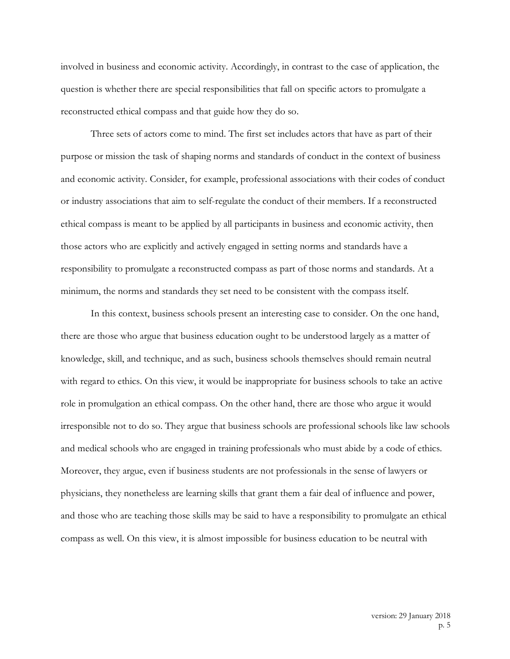involved in business and economic activity. Accordingly, in contrast to the case of application, the question is whether there are special responsibilities that fall on specific actors to promulgate a reconstructed ethical compass and that guide how they do so.

Three sets of actors come to mind. The first set includes actors that have as part of their purpose or mission the task of shaping norms and standards of conduct in the context of business and economic activity. Consider, for example, professional associations with their codes of conduct or industry associations that aim to self-regulate the conduct of their members. If a reconstructed ethical compass is meant to be applied by all participants in business and economic activity, then those actors who are explicitly and actively engaged in setting norms and standards have a responsibility to promulgate a reconstructed compass as part of those norms and standards. At a minimum, the norms and standards they set need to be consistent with the compass itself.

In this context, business schools present an interesting case to consider. On the one hand, there are those who argue that business education ought to be understood largely as a matter of knowledge, skill, and technique, and as such, business schools themselves should remain neutral with regard to ethics. On this view, it would be inappropriate for business schools to take an active role in promulgation an ethical compass. On the other hand, there are those who argue it would irresponsible not to do so. They argue that business schools are professional schools like law schools and medical schools who are engaged in training professionals who must abide by a code of ethics. Moreover, they argue, even if business students are not professionals in the sense of lawyers or physicians, they nonetheless are learning skills that grant them a fair deal of influence and power, and those who are teaching those skills may be said to have a responsibility to promulgate an ethical compass as well. On this view, it is almost impossible for business education to be neutral with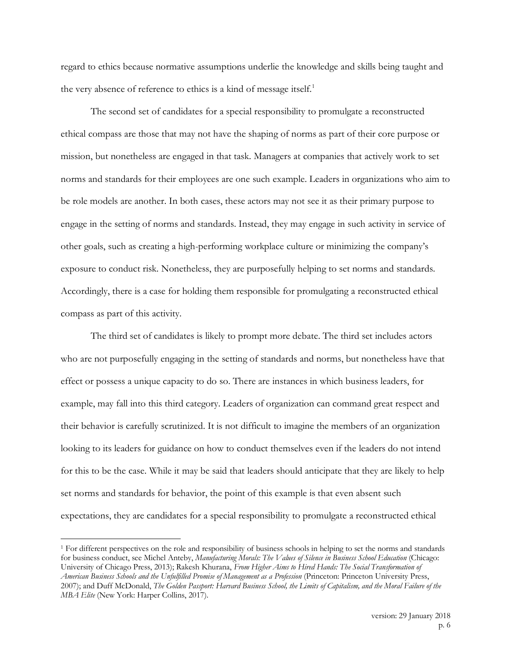regard to ethics because normative assumptions underlie the knowledge and skills being taught and the very absence of reference to ethics is a kind of message itself.<sup>1</sup>

The second set of candidates for a special responsibility to promulgate a reconstructed ethical compass are those that may not have the shaping of norms as part of their core purpose or mission, but nonetheless are engaged in that task. Managers at companies that actively work to set norms and standards for their employees are one such example. Leaders in organizations who aim to be role models are another. In both cases, these actors may not see it as their primary purpose to engage in the setting of norms and standards. Instead, they may engage in such activity in service of other goals, such as creating a high-performing workplace culture or minimizing the company's exposure to conduct risk. Nonetheless, they are purposefully helping to set norms and standards. Accordingly, there is a case for holding them responsible for promulgating a reconstructed ethical compass as part of this activity.

The third set of candidates is likely to prompt more debate. The third set includes actors who are not purposefully engaging in the setting of standards and norms, but nonetheless have that effect or possess a unique capacity to do so. There are instances in which business leaders, for example, may fall into this third category. Leaders of organization can command great respect and their behavior is carefully scrutinized. It is not difficult to imagine the members of an organization looking to its leaders for guidance on how to conduct themselves even if the leaders do not intend for this to be the case. While it may be said that leaders should anticipate that they are likely to help set norms and standards for behavior, the point of this example is that even absent such expectations, they are candidates for a special responsibility to promulgate a reconstructed ethical

 <sup>1</sup> For different perspectives on the role and responsibility of business schools in helping to set the norms and standards for business conduct, see Michel Anteby, *Manufacturing Morals: The Values of Silence in Business School Education* (Chicago: University of Chicago Press, 2013); Rakesh Khurana, *From Higher Aims to Hired Hands: The Social Transformation of American Business Schools and the Unfulfilled Promise of Management as a Profession* (Princeton: Princeton University Press, 2007); and Duff McDonald, *The Golden Passport: Harvard Business School, the Limits of Capitalism, and the Moral Failure of the MBA Elite* (New York: Harper Collins, 2017).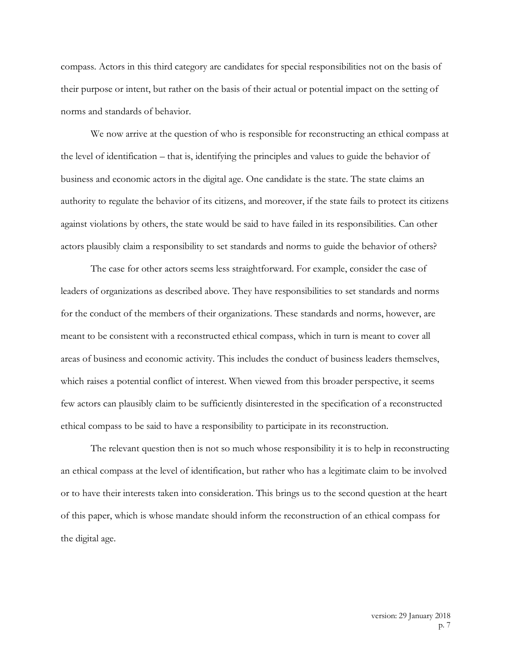compass. Actors in this third category are candidates for special responsibilities not on the basis of their purpose or intent, but rather on the basis of their actual or potential impact on the setting of norms and standards of behavior.

We now arrive at the question of who is responsible for reconstructing an ethical compass at the level of identification – that is, identifying the principles and values to guide the behavior of business and economic actors in the digital age. One candidate is the state. The state claims an authority to regulate the behavior of its citizens, and moreover, if the state fails to protect its citizens against violations by others, the state would be said to have failed in its responsibilities. Can other actors plausibly claim a responsibility to set standards and norms to guide the behavior of others?

The case for other actors seems less straightforward. For example, consider the case of leaders of organizations as described above. They have responsibilities to set standards and norms for the conduct of the members of their organizations. These standards and norms, however, are meant to be consistent with a reconstructed ethical compass, which in turn is meant to cover all areas of business and economic activity. This includes the conduct of business leaders themselves, which raises a potential conflict of interest. When viewed from this broader perspective, it seems few actors can plausibly claim to be sufficiently disinterested in the specification of a reconstructed ethical compass to be said to have a responsibility to participate in its reconstruction.

The relevant question then is not so much whose responsibility it is to help in reconstructing an ethical compass at the level of identification, but rather who has a legitimate claim to be involved or to have their interests taken into consideration. This brings us to the second question at the heart of this paper, which is whose mandate should inform the reconstruction of an ethical compass for the digital age.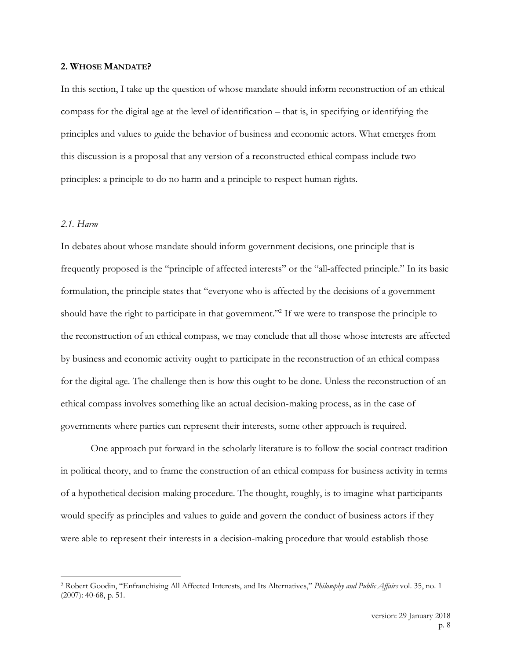### **2. WHOSE MANDATE?**

In this section, I take up the question of whose mandate should inform reconstruction of an ethical compass for the digital age at the level of identification – that is, in specifying or identifying the principles and values to guide the behavior of business and economic actors. What emerges from this discussion is a proposal that any version of a reconstructed ethical compass include two principles: a principle to do no harm and a principle to respect human rights.

# *2.1. Harm*

In debates about whose mandate should inform government decisions, one principle that is frequently proposed is the "principle of affected interests" or the "all-affected principle." In its basic formulation, the principle states that "everyone who is affected by the decisions of a government should have the right to participate in that government."<sup>2</sup> If we were to transpose the principle to the reconstruction of an ethical compass, we may conclude that all those whose interests are affected by business and economic activity ought to participate in the reconstruction of an ethical compass for the digital age. The challenge then is how this ought to be done. Unless the reconstruction of an ethical compass involves something like an actual decision-making process, as in the case of governments where parties can represent their interests, some other approach is required.

One approach put forward in the scholarly literature is to follow the social contract tradition in political theory, and to frame the construction of an ethical compass for business activity in terms of a hypothetical decision-making procedure. The thought, roughly, is to imagine what participants would specify as principles and values to guide and govern the conduct of business actors if they were able to represent their interests in a decision-making procedure that would establish those

 <sup>2</sup> Robert Goodin, "Enfranchising All Affected Interests, and Its Alternatives," *Philosophy and Public Affairs* vol. 35, no. 1 (2007): 40-68, p. 51.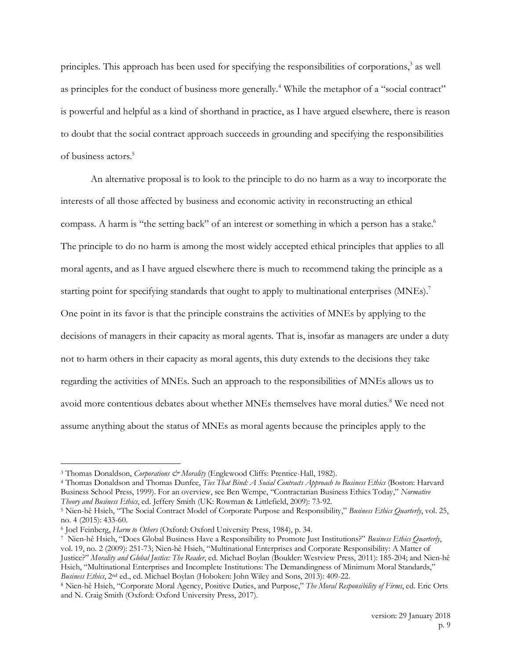principles. This approach has been used for specifying the responsibilities of corporations,<sup>3</sup> as well as principles for the conduct of business more generally.<sup>4</sup> While the metaphor of a "social contract" is powerful and helpful as a kind of shorthand in practice, as I have argued elsewhere, there is reason to doubt that the social contract approach succeeds in grounding and specifying the responsibilities of business actors.5

An alternative proposal is to look to the principle to do no harm as a way to incorporate the interests of all those affected by business and economic activity in reconstructing an ethical compass. A harm is "the setting back" of an interest or something in which a person has a stake.<sup>6</sup> The principle to do no harm is among the most widely accepted ethical principles that applies to all moral agents, and as I have argued elsewhere there is much to recommend taking the principle as a starting point for specifying standards that ought to apply to multinational enterprises (MNEs).<sup>7</sup> One point in its favor is that the principle constrains the activities of MNEs by applying to the decisions of managers in their capacity as moral agents. That is, insofar as managers are under a duty not to harm others in their capacity as moral agents, this duty extends to the decisions they take regarding the activities of MNEs. Such an approach to the responsibilities of MNEs allows us to avoid more contentious debates about whether MNEs themselves have moral duties.<sup>8</sup> We need not assume anything about the status of MNEs as moral agents because the principles apply to the

<sup>&</sup>lt;sup>3</sup> Thomas Donaldson, *Corporations & Morality* (Englewood Cliffs: Prentice-Hall, 1982).

<sup>4</sup> Thomas Donaldson and Thomas Dunfee, *Ties That Bind: A Social Contracts Approach to Business Ethics* (Boston: Harvard Business School Press, 1999). For an overview, see Ben Wempe, "Contractarian Business Ethics Today," *Normative Theory and Business Ethics*, ed. Jeffery Smith (UK: Rowman & Littlefield, 2009): 73-92.

<sup>5</sup> Nien-hê Hsieh, "The Social Contract Model of Corporate Purpose and Responsibility," *Business Ethics Quarterly*, vol. 25, no. 4 (2015): 433-60.

<sup>6</sup> Joel Feinberg, *Harm to Others* (Oxford: Oxford University Press, 1984), p. 34.

<sup>7</sup> Nien-hê Hsieh, "Does Global Business Have a Responsibility to Promote Just Institutions?" *Business Ethics Quarterly*, vol. 19, no. 2 (2009): 251-73; Nien-hê Hsieh, "Multinational Enterprises and Corporate Responsibility: A Matter of Justice?" *Morality and Global Justice: The Reader*, ed. Michael Boylan (Boulder: Westview Press, 2011): 185-204; and Nien-hê Hsieh, "Multinational Enterprises and Incomplete Institutions: The Demandingness of Minimum Moral Standards," *Business Ethics*, 2nd ed., ed. Michael Boylan (Hoboken: John Wiley and Sons, 2013): 409-22.

<sup>8</sup> Nien-hê Hsieh, "Corporate Moral Agency, Positive Duties, and Purpose," *The Moral Responsibility of Firms*, ed. Eric Orts and N. Craig Smith (Oxford: Oxford University Press, 2017).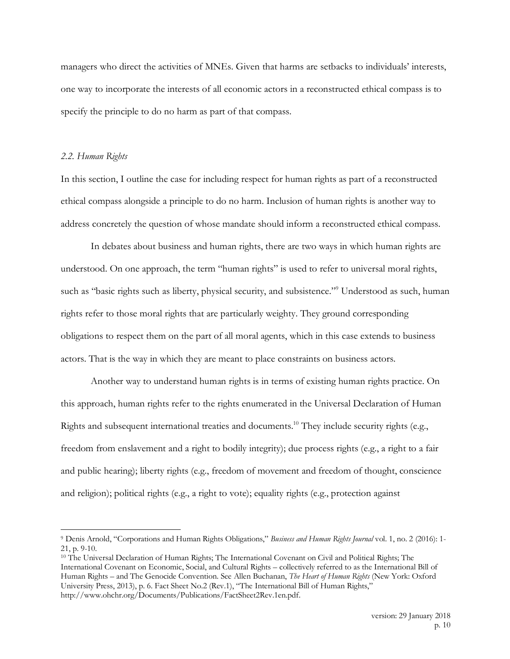managers who direct the activities of MNEs. Given that harms are setbacks to individuals' interests, one way to incorporate the interests of all economic actors in a reconstructed ethical compass is to specify the principle to do no harm as part of that compass.

### *2.2. Human Rights*

In this section, I outline the case for including respect for human rights as part of a reconstructed ethical compass alongside a principle to do no harm. Inclusion of human rights is another way to address concretely the question of whose mandate should inform a reconstructed ethical compass.

In debates about business and human rights, there are two ways in which human rights are understood. On one approach, the term "human rights" is used to refer to universal moral rights, such as "basic rights such as liberty, physical security, and subsistence."<sup>9</sup> Understood as such, human rights refer to those moral rights that are particularly weighty. They ground corresponding obligations to respect them on the part of all moral agents, which in this case extends to business actors. That is the way in which they are meant to place constraints on business actors.

Another way to understand human rights is in terms of existing human rights practice. On this approach, human rights refer to the rights enumerated in the Universal Declaration of Human Rights and subsequent international treaties and documents.10 They include security rights (e.g., freedom from enslavement and a right to bodily integrity); due process rights (e.g., a right to a fair and public hearing); liberty rights (e.g., freedom of movement and freedom of thought, conscience and religion); political rights (e.g., a right to vote); equality rights (e.g., protection against

 <sup>9</sup> Denis Arnold, "Corporations and Human Rights Obligations," *Business and Human Rights Journal* vol. 1, no. 2 (2016): 1- 21, p. 9-10.

<sup>10</sup> The Universal Declaration of Human Rights; The International Covenant on Civil and Political Rights; The International Covenant on Economic, Social, and Cultural Rights – collectively referred to as the International Bill of Human Rights – and The Genocide Convention. See Allen Buchanan, *The Heart of Human Rights* (New York: Oxford University Press, 2013), p. 6. Fact Sheet No.2 (Rev.1), "The International Bill of Human Rights," http://www.ohchr.org/Documents/Publications/FactSheet2Rev.1en.pdf.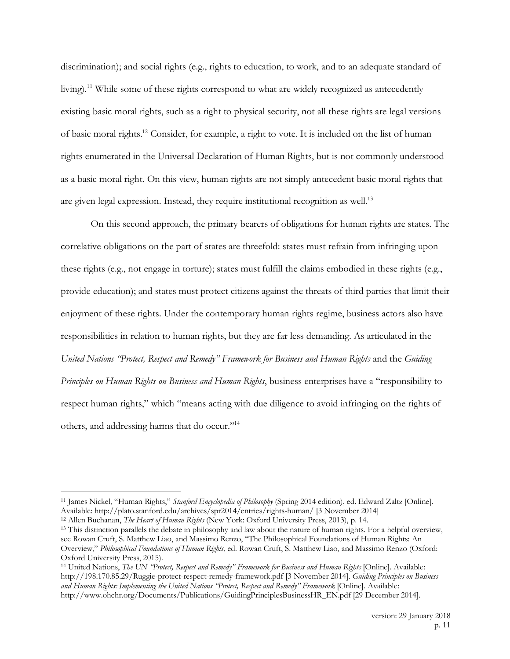discrimination); and social rights (e.g., rights to education, to work, and to an adequate standard of living).<sup>11</sup> While some of these rights correspond to what are widely recognized as antecedently existing basic moral rights, such as a right to physical security, not all these rights are legal versions of basic moral rights.12 Consider, for example, a right to vote. It is included on the list of human rights enumerated in the Universal Declaration of Human Rights, but is not commonly understood as a basic moral right. On this view, human rights are not simply antecedent basic moral rights that are given legal expression. Instead, they require institutional recognition as well.<sup>13</sup>

On this second approach, the primary bearers of obligations for human rights are states. The correlative obligations on the part of states are threefold: states must refrain from infringing upon these rights (e.g., not engage in torture); states must fulfill the claims embodied in these rights (e.g., provide education); and states must protect citizens against the threats of third parties that limit their enjoyment of these rights. Under the contemporary human rights regime, business actors also have responsibilities in relation to human rights, but they are far less demanding. As articulated in the *United Nations "Protect, Respect and Remedy" Framework for Business and Human Rights* and the *Guiding Principles on Human Rights on Business and Human Rights*, business enterprises have a "responsibility to respect human rights," which "means acting with due diligence to avoid infringing on the rights of others, and addressing harms that do occur."14

 <sup>11</sup> James Nickel, "Human Rights," *Stanford Encyclopedia of Philosophy* (Spring 2014 edition), ed. Edward Zaltz [Online]. Available: http://plato.stanford.edu/archives/spr2014/entries/rights-human/ [3 November 2014]

<sup>12</sup> Allen Buchanan, *The Heart of Human Rights* (New York: Oxford University Press, 2013), p. 14.

<sup>&</sup>lt;sup>13</sup> This distinction parallels the debate in philosophy and law about the nature of human rights. For a helpful overview, see Rowan Cruft, S. Matthew Liao, and Massimo Renzo, "The Philosophical Foundations of Human Rights: An Overview," *Philosophical Foundations of Human Rights*, ed. Rowan Cruft, S. Matthew Liao, and Massimo Renzo (Oxford: Oxford University Press, 2015).

<sup>14</sup> United Nations, *The UN "Protect, Respect and Remedy" Framework for Business and Human Rights* [Online]. Available: http://198.170.85.29/Ruggie-protect-respect-remedy-framework.pdf [3 November 2014]. *Guiding Principles on Business and Human Rights: Implementing the United Nations "Protect, Respect and Remedy" Framework* [Online]. Available: http://www.ohchr.org/Documents/Publications/GuidingPrinciplesBusinessHR\_EN.pdf [29 December 2014].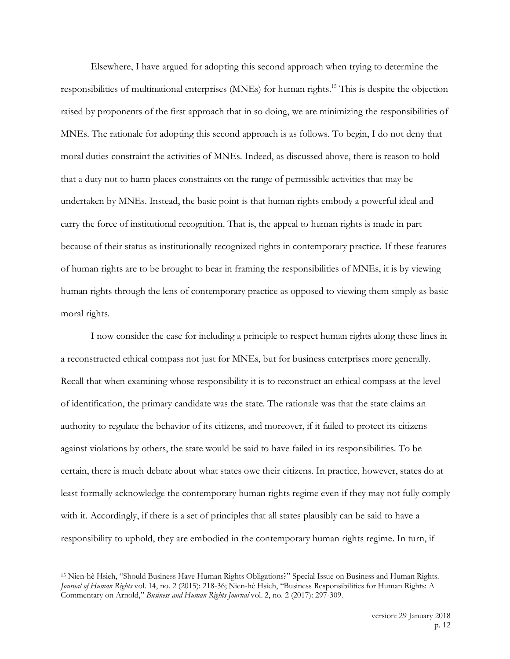Elsewhere, I have argued for adopting this second approach when trying to determine the responsibilities of multinational enterprises (MNEs) for human rights.15 This is despite the objection raised by proponents of the first approach that in so doing, we are minimizing the responsibilities of MNEs. The rationale for adopting this second approach is as follows. To begin, I do not deny that moral duties constraint the activities of MNEs. Indeed, as discussed above, there is reason to hold that a duty not to harm places constraints on the range of permissible activities that may be undertaken by MNEs. Instead, the basic point is that human rights embody a powerful ideal and carry the force of institutional recognition. That is, the appeal to human rights is made in part because of their status as institutionally recognized rights in contemporary practice. If these features of human rights are to be brought to bear in framing the responsibilities of MNEs, it is by viewing human rights through the lens of contemporary practice as opposed to viewing them simply as basic moral rights.

I now consider the case for including a principle to respect human rights along these lines in a reconstructed ethical compass not just for MNEs, but for business enterprises more generally. Recall that when examining whose responsibility it is to reconstruct an ethical compass at the level of identification, the primary candidate was the state. The rationale was that the state claims an authority to regulate the behavior of its citizens, and moreover, if it failed to protect its citizens against violations by others, the state would be said to have failed in its responsibilities. To be certain, there is much debate about what states owe their citizens. In practice, however, states do at least formally acknowledge the contemporary human rights regime even if they may not fully comply with it. Accordingly, if there is a set of principles that all states plausibly can be said to have a responsibility to uphold, they are embodied in the contemporary human rights regime. In turn, if

 <sup>15</sup> Nien-hê Hsieh, "Should Business Have Human Rights Obligations?" Special Issue on Business and Human Rights. *Journal of Human Rights* vol. 14, no. 2 (2015): 218-36; Nien-hê Hsieh, "Business Responsibilities for Human Rights: A Commentary on Arnold," *Business and Human Rights Journal* vol. 2, no. 2 (2017): 297-309.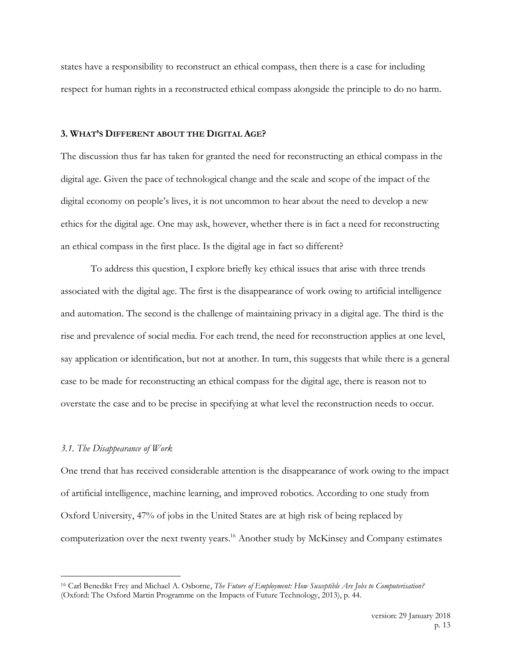states have a responsibility to reconstruct an ethical compass, then there is a case for including respect for human rights in a reconstructed ethical compass alongside the principle to do no harm.

## **3. WHAT'S DIFFERENT ABOUT THE DIGITAL AGE?**

The discussion thus far has taken for granted the need for reconstructing an ethical compass in the digital age. Given the pace of technological change and the scale and scope of the impact of the digital economy on people's lives, it is not uncommon to hear about the need to develop a new ethics for the digital age. One may ask, however, whether there is in fact a need for reconstructing an ethical compass in the first place. Is the digital age in fact so different?

To address this question, I explore briefly key ethical issues that arise with three trends associated with the digital age. The first is the disappearance of work owing to artificial intelligence and automation. The second is the challenge of maintaining privacy in a digital age. The third is the rise and prevalence of social media. For each trend, the need for reconstruction applies at one level, say application or identification, but not at another. In turn, this suggests that while there is a general case to be made for reconstructing an ethical compass for the digital age, there is reason not to overstate the case and to be precise in specifying at what level the reconstruction needs to occur.

### *3.1. The Disappearance of Work*

One trend that has received considerable attention is the disappearance of work owing to the impact of artificial intelligence, machine learning, and improved robotics. According to one study from Oxford University, 47% of jobs in the United States are at high risk of being replaced by computerization over the next twenty years.<sup>16</sup> Another study by McKinsey and Company estimates

 <sup>16</sup> Carl Benedikt Frey and Michael A. Osborne, *The Future of Employment: How Susceptible Are Jobs to Computerisation?* (Oxford: The Oxford Martin Programme on the Impacts of Future Technology, 2013), p. 44.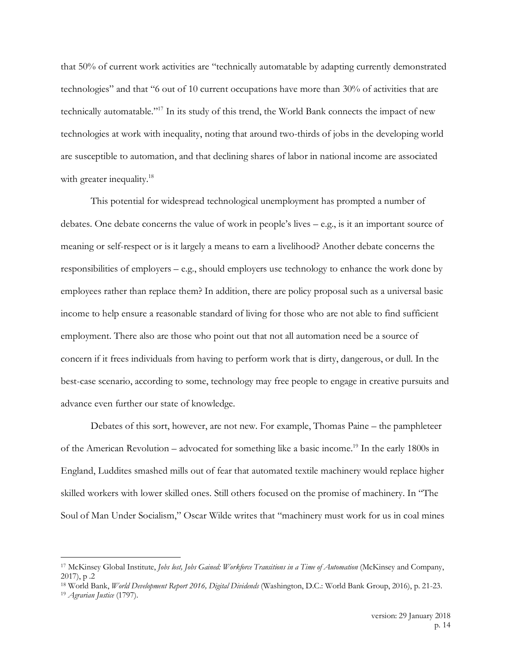that 50% of current work activities are "technically automatable by adapting currently demonstrated technologies" and that "6 out of 10 current occupations have more than 30% of activities that are technically automatable."17 In its study of this trend, the World Bank connects the impact of new technologies at work with inequality, noting that around two-thirds of jobs in the developing world are susceptible to automation, and that declining shares of labor in national income are associated with greater inequality.<sup>18</sup>

This potential for widespread technological unemployment has prompted a number of debates. One debate concerns the value of work in people's lives – e.g., is it an important source of meaning or self-respect or is it largely a means to earn a livelihood? Another debate concerns the responsibilities of employers – e.g., should employers use technology to enhance the work done by employees rather than replace them? In addition, there are policy proposal such as a universal basic income to help ensure a reasonable standard of living for those who are not able to find sufficient employment. There also are those who point out that not all automation need be a source of concern if it frees individuals from having to perform work that is dirty, dangerous, or dull. In the best-case scenario, according to some, technology may free people to engage in creative pursuits and advance even further our state of knowledge.

Debates of this sort, however, are not new. For example, Thomas Paine – the pamphleteer of the American Revolution – advocated for something like a basic income.19 In the early 1800s in England, Luddites smashed mills out of fear that automated textile machinery would replace higher skilled workers with lower skilled ones. Still others focused on the promise of machinery. In "The Soul of Man Under Socialism," Oscar Wilde writes that "machinery must work for us in coal mines

 <sup>17</sup> McKinsey Global Institute, *Jobs lost, Jobs Gained: Workforce Transitions in a Time of Automation* (McKinsey and Company, 2017), p .2

<sup>18</sup> World Bank, *World Development Report 2016, Digital Dividends* (Washington, D.C.: World Bank Group, 2016), p. 21-23.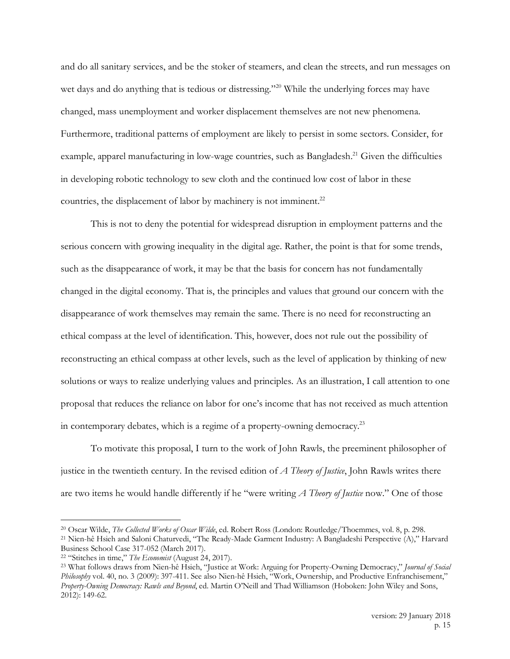and do all sanitary services, and be the stoker of steamers, and clean the streets, and run messages on wet days and do anything that is tedious or distressing."<sup>20</sup> While the underlying forces may have changed, mass unemployment and worker displacement themselves are not new phenomena. Furthermore, traditional patterns of employment are likely to persist in some sectors. Consider, for example, apparel manufacturing in low-wage countries, such as Bangladesh.<sup>21</sup> Given the difficulties in developing robotic technology to sew cloth and the continued low cost of labor in these countries, the displacement of labor by machinery is not imminent.<sup>22</sup>

This is not to deny the potential for widespread disruption in employment patterns and the serious concern with growing inequality in the digital age. Rather, the point is that for some trends, such as the disappearance of work, it may be that the basis for concern has not fundamentally changed in the digital economy. That is, the principles and values that ground our concern with the disappearance of work themselves may remain the same. There is no need for reconstructing an ethical compass at the level of identification. This, however, does not rule out the possibility of reconstructing an ethical compass at other levels, such as the level of application by thinking of new solutions or ways to realize underlying values and principles. As an illustration, I call attention to one proposal that reduces the reliance on labor for one's income that has not received as much attention in contemporary debates, which is a regime of a property-owning democracy.<sup>23</sup>

To motivate this proposal, I turn to the work of John Rawls, the preeminent philosopher of justice in the twentieth century. In the revised edition of *A Theory of Justice*, John Rawls writes there are two items he would handle differently if he "were writing *A Theory of Justice* now." One of those

 <sup>20</sup> Oscar Wilde, *The Collected Works of Oscar Wilde*, ed. Robert Ross (London: Routledge/Thoemmes, vol. 8, p. 298.

<sup>21</sup> Nien-hê Hsieh and Saloni Chaturvedi, "The Ready-Made Garment Industry: A Bangladeshi Perspective (A)," Harvard Business School Case 317-052 (March 2017).

<sup>22</sup> "Stitches in time," *The Economist* (August 24, 2017).

<sup>23</sup> What follows draws from Nien-hê Hsieh, "Justice at Work: Arguing for Property-Owning Democracy," *Journal of Social Philosophy* vol. 40, no. 3 (2009): 397-411. See also Nien-hê Hsieh, "Work, Ownership, and Productive Enfranchisement," *Property-Owning Democracy: Rawls and Beyond*, ed. Martin O'Neill and Thad Williamson (Hoboken: John Wiley and Sons, 2012): 149-62.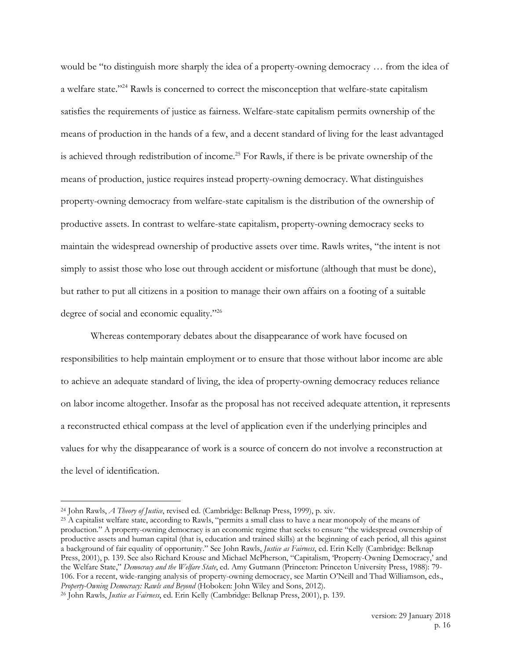would be "to distinguish more sharply the idea of a property-owning democracy … from the idea of a welfare state."24 Rawls is concerned to correct the misconception that welfare-state capitalism satisfies the requirements of justice as fairness. Welfare-state capitalism permits ownership of the means of production in the hands of a few, and a decent standard of living for the least advantaged is achieved through redistribution of income.<sup>25</sup> For Rawls, if there is be private ownership of the means of production, justice requires instead property-owning democracy. What distinguishes property-owning democracy from welfare-state capitalism is the distribution of the ownership of productive assets. In contrast to welfare-state capitalism, property-owning democracy seeks to maintain the widespread ownership of productive assets over time. Rawls writes, "the intent is not simply to assist those who lose out through accident or misfortune (although that must be done), but rather to put all citizens in a position to manage their own affairs on a footing of a suitable degree of social and economic equality."26

Whereas contemporary debates about the disappearance of work have focused on responsibilities to help maintain employment or to ensure that those without labor income are able to achieve an adequate standard of living, the idea of property-owning democracy reduces reliance on labor income altogether. Insofar as the proposal has not received adequate attention, it represents a reconstructed ethical compass at the level of application even if the underlying principles and values for why the disappearance of work is a source of concern do not involve a reconstruction at the level of identification.

 <sup>24</sup> John Rawls, *A Theory of Justice*, revised ed. (Cambridge: Belknap Press, 1999), p. xiv.

<sup>25</sup> A capitalist welfare state, according to Rawls, "permits a small class to have a near monopoly of the means of production." A property-owning democracy is an economic regime that seeks to ensure "the widespread ownership of productive assets and human capital (that is, education and trained skills) at the beginning of each period, all this against a background of fair equality of opportunity." See John Rawls, *Justice as Fairness*, ed. Erin Kelly (Cambridge: Belknap Press, 2001), p. 139. See also Richard Krouse and Michael McPherson, "Capitalism, 'Property-Owning Democracy,' and the Welfare State," *Democracy and the Welfare State*, ed. Amy Gutmann (Princeton: Princeton University Press, 1988): 79- 106. For a recent, wide-ranging analysis of property-owning democracy, see Martin O'Neill and Thad Williamson, eds., *Property-Owning Democracy: Rawls and Beyond* (Hoboken: John Wiley and Sons, 2012).

<sup>26</sup> John Rawls, *Justice as Fairness*, ed. Erin Kelly (Cambridge: Belknap Press, 2001), p. 139.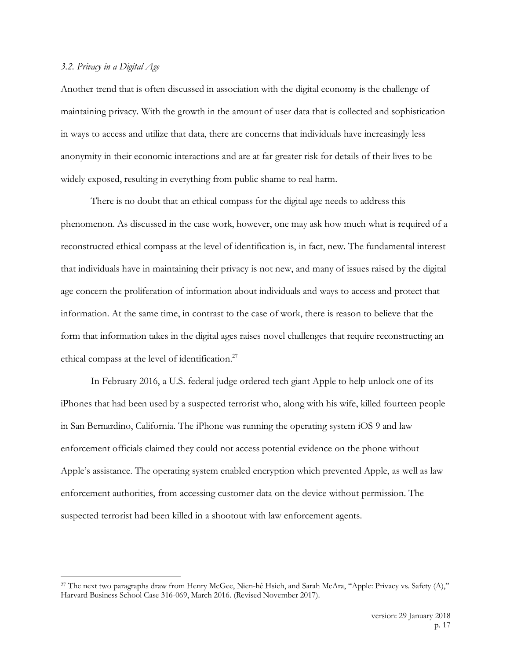## *3.2. Privacy in a Digital Age*

Another trend that is often discussed in association with the digital economy is the challenge of maintaining privacy. With the growth in the amount of user data that is collected and sophistication in ways to access and utilize that data, there are concerns that individuals have increasingly less anonymity in their economic interactions and are at far greater risk for details of their lives to be widely exposed, resulting in everything from public shame to real harm.

There is no doubt that an ethical compass for the digital age needs to address this phenomenon. As discussed in the case work, however, one may ask how much what is required of a reconstructed ethical compass at the level of identification is, in fact, new. The fundamental interest that individuals have in maintaining their privacy is not new, and many of issues raised by the digital age concern the proliferation of information about individuals and ways to access and protect that information. At the same time, in contrast to the case of work, there is reason to believe that the form that information takes in the digital ages raises novel challenges that require reconstructing an ethical compass at the level of identification.<sup>27</sup>

In February 2016, a U.S. federal judge ordered tech giant Apple to help unlock one of its iPhones that had been used by a suspected terrorist who, along with his wife, killed fourteen people in San Bernardino, California. The iPhone was running the operating system iOS 9 and law enforcement officials claimed they could not access potential evidence on the phone without Apple's assistance. The operating system enabled encryption which prevented Apple, as well as law enforcement authorities, from accessing customer data on the device without permission. The suspected terrorist had been killed in a shootout with law enforcement agents.

 <sup>27</sup> The next two paragraphs draw from Henry McGee, Nien-hê Hsieh, and Sarah McAra, "Apple: Privacy vs. Safety (A)," Harvard Business School Case 316-069, March 2016. (Revised November 2017).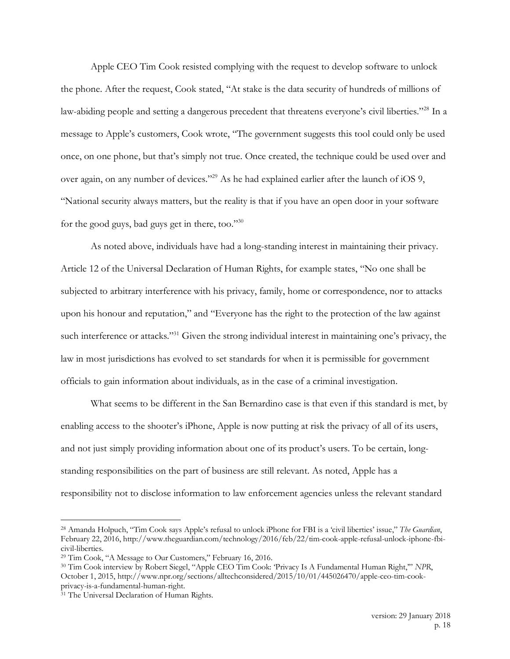Apple CEO Tim Cook resisted complying with the request to develop software to unlock the phone. After the request, Cook stated, "At stake is the data security of hundreds of millions of law-abiding people and setting a dangerous precedent that threatens everyone's civil liberties."<sup>28</sup> In a message to Apple's customers, Cook wrote, "The government suggests this tool could only be used once, on one phone, but that's simply not true. Once created, the technique could be used over and over again, on any number of devices."29 As he had explained earlier after the launch of iOS 9, "National security always matters, but the reality is that if you have an open door in your software for the good guys, bad guys get in there, too."30

As noted above, individuals have had a long-standing interest in maintaining their privacy. Article 12 of the Universal Declaration of Human Rights, for example states, "No one shall be subjected to arbitrary interference with his privacy, family, home or correspondence, nor to attacks upon his honour and reputation," and "Everyone has the right to the protection of the law against such interference or attacks."<sup>31</sup> Given the strong individual interest in maintaining one's privacy, the law in most jurisdictions has evolved to set standards for when it is permissible for government officials to gain information about individuals, as in the case of a criminal investigation.

What seems to be different in the San Bernardino case is that even if this standard is met, by enabling access to the shooter's iPhone, Apple is now putting at risk the privacy of all of its users, and not just simply providing information about one of its product's users. To be certain, longstanding responsibilities on the part of business are still relevant. As noted, Apple has a responsibility not to disclose information to law enforcement agencies unless the relevant standard

 <sup>28</sup> Amanda Holpuch, "Tim Cook says Apple's refusal to unlock iPhone for FBI is a 'civil liberties' issue," *The Guardian*, February 22, 2016, http://www.theguardian.com/technology/2016/feb/22/tim-cook-apple-refusal-unlock-iphone-fbicivil-liberties.

<sup>29</sup> Tim Cook, "A Message to Our Customers," February 16, 2016.

<sup>30</sup> Tim Cook interview by Robert Siegel, "Apple CEO Tim Cook: 'Privacy Is A Fundamental Human Right,'" *NPR*, October 1, 2015, http://www.npr.org/sections/alltechconsidered/2015/10/01/445026470/apple-ceo-tim-cookprivacy-is-a-fundamental-human-right.

<sup>31</sup> The Universal Declaration of Human Rights.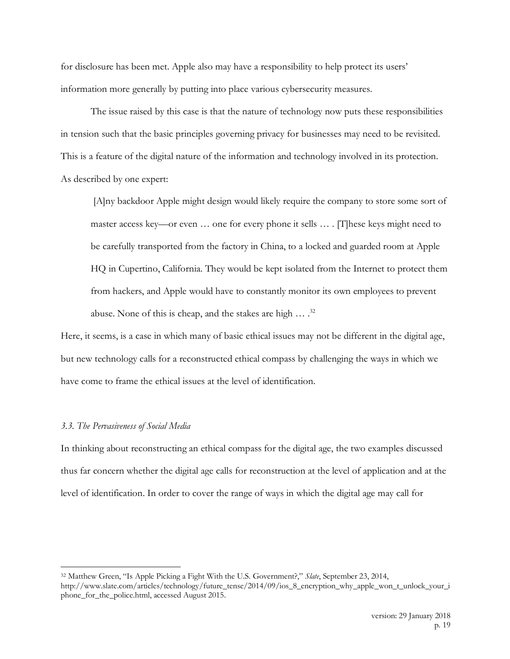for disclosure has been met. Apple also may have a responsibility to help protect its users' information more generally by putting into place various cybersecurity measures.

The issue raised by this case is that the nature of technology now puts these responsibilities in tension such that the basic principles governing privacy for businesses may need to be revisited. This is a feature of the digital nature of the information and technology involved in its protection. As described by one expert:

[A]ny backdoor Apple might design would likely require the company to store some sort of master access key—or even … one for every phone it sells … . [T]hese keys might need to be carefully transported from the factory in China, to a locked and guarded room at Apple HQ in Cupertino, California. They would be kept isolated from the Internet to protect them from hackers, and Apple would have to constantly monitor its own employees to prevent abuse. None of this is cheap, and the stakes are high  $\ldots$  .<sup>32</sup>

Here, it seems, is a case in which many of basic ethical issues may not be different in the digital age, but new technology calls for a reconstructed ethical compass by challenging the ways in which we have come to frame the ethical issues at the level of identification.

## *3.3. The Pervasiveness of Social Media*

In thinking about reconstructing an ethical compass for the digital age, the two examples discussed thus far concern whether the digital age calls for reconstruction at the level of application and at the level of identification. In order to cover the range of ways in which the digital age may call for

 <sup>32</sup> Matthew Green, "Is Apple Picking a Fight With the U.S. Government?," *Slate*, September 23, 2014,

http://www.slate.com/articles/technology/future\_tense/2014/09/ios\_8\_encryption\_why\_apple\_won\_t\_unlock\_your\_i phone\_for\_the\_police.html, accessed August 2015.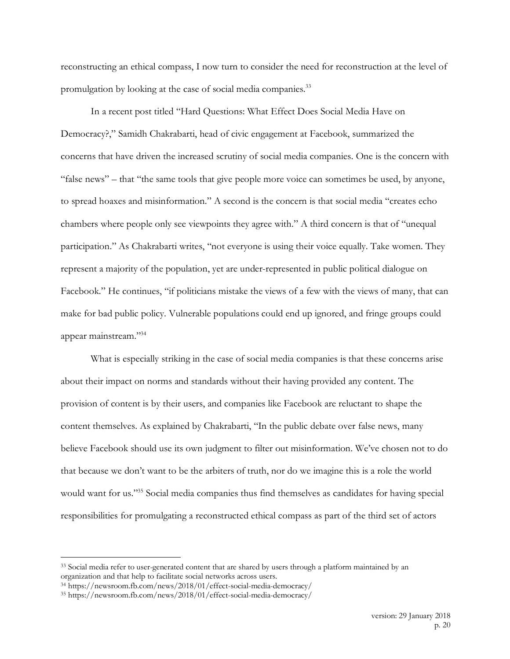reconstructing an ethical compass, I now turn to consider the need for reconstruction at the level of promulgation by looking at the case of social media companies.<sup>33</sup>

In a recent post titled "Hard Questions: What Effect Does Social Media Have on Democracy?," Samidh Chakrabarti, head of civic engagement at Facebook, summarized the concerns that have driven the increased scrutiny of social media companies. One is the concern with "false news" – that "the same tools that give people more voice can sometimes be used, by anyone, to spread hoaxes and misinformation." A second is the concern is that social media "creates echo chambers where people only see viewpoints they agree with." A third concern is that of "unequal participation." As Chakrabarti writes, "not everyone is using their voice equally. Take women. They represent a majority of the population, yet are under-represented in public political dialogue on Facebook." He continues, "if politicians mistake the views of a few with the views of many, that can make for bad public policy. Vulnerable populations could end up ignored, and fringe groups could appear mainstream."34

What is especially striking in the case of social media companies is that these concerns arise about their impact on norms and standards without their having provided any content. The provision of content is by their users, and companies like Facebook are reluctant to shape the content themselves. As explained by Chakrabarti, "In the public debate over false news, many believe Facebook should use its own judgment to filter out misinformation. We've chosen not to do that because we don't want to be the arbiters of truth, nor do we imagine this is a role the world would want for us."35 Social media companies thus find themselves as candidates for having special responsibilities for promulgating a reconstructed ethical compass as part of the third set of actors

<sup>&</sup>lt;sup>33</sup> Social media refer to user-generated content that are shared by users through a platform maintained by an organization and that help to facilitate social networks across users.

<sup>34</sup> https://newsroom.fb.com/news/2018/01/effect-social-media-democracy/

<sup>35</sup> https://newsroom.fb.com/news/2018/01/effect-social-media-democracy/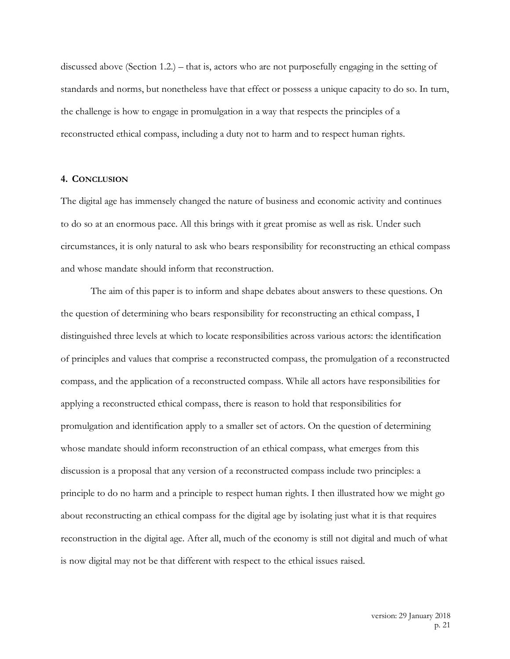discussed above (Section 1.2.) – that is, actors who are not purposefully engaging in the setting of standards and norms, but nonetheless have that effect or possess a unique capacity to do so. In turn, the challenge is how to engage in promulgation in a way that respects the principles of a reconstructed ethical compass, including a duty not to harm and to respect human rights.

## **4. CONCLUSION**

The digital age has immensely changed the nature of business and economic activity and continues to do so at an enormous pace. All this brings with it great promise as well as risk. Under such circumstances, it is only natural to ask who bears responsibility for reconstructing an ethical compass and whose mandate should inform that reconstruction.

The aim of this paper is to inform and shape debates about answers to these questions. On the question of determining who bears responsibility for reconstructing an ethical compass, I distinguished three levels at which to locate responsibilities across various actors: the identification of principles and values that comprise a reconstructed compass, the promulgation of a reconstructed compass, and the application of a reconstructed compass. While all actors have responsibilities for applying a reconstructed ethical compass, there is reason to hold that responsibilities for promulgation and identification apply to a smaller set of actors. On the question of determining whose mandate should inform reconstruction of an ethical compass, what emerges from this discussion is a proposal that any version of a reconstructed compass include two principles: a principle to do no harm and a principle to respect human rights. I then illustrated how we might go about reconstructing an ethical compass for the digital age by isolating just what it is that requires reconstruction in the digital age. After all, much of the economy is still not digital and much of what is now digital may not be that different with respect to the ethical issues raised.